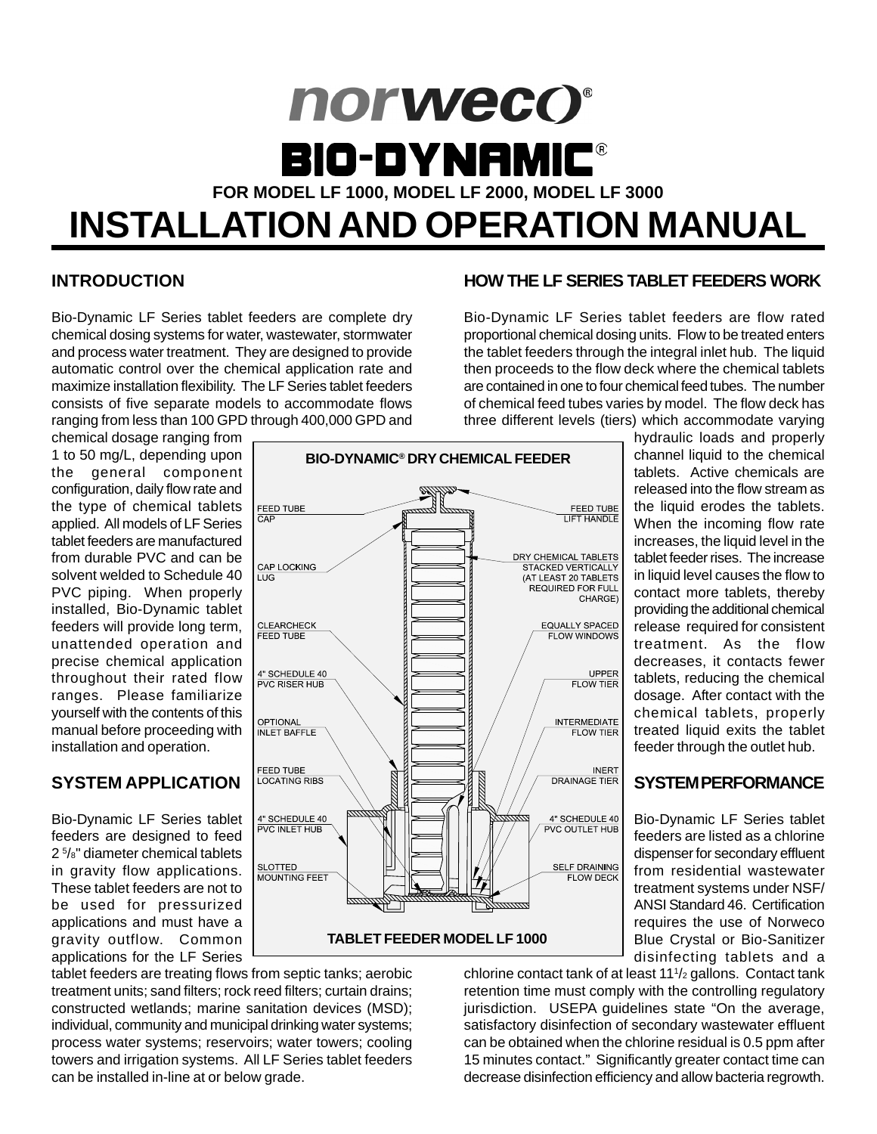# norweco® **BIO-DYNAMIC®**

**FOR MODEL LF 1000, MODEL LF 2000, MODEL LF 3000**

# **INSTALLATION AND OPERATION MANUAL**

#### **INTRODUCTION**

Bio-Dynamic LF Series tablet feeders are complete dry chemical dosing systems for water, wastewater, stormwater and process water treatment. They are designed to provide automatic control over the chemical application rate and maximize installation flexibility. The LF Series tablet feeders consists of five separate models to accommodate flows ranging from less than 100 GPD through 400,000 GPD and

chemical dosage ranging from 1 to 50 mg/L, depending upon the general component configuration, daily flow rate and the type of chemical tablets applied. All models of LF Series tablet feeders are manufactured from durable PVC and can be solvent welded to Schedule 40 PVC piping. When properly installed, Bio-Dynamic tablet feeders will provide long term, unattended operation and precise chemical application throughout their rated flow ranges. Please familiarize yourself with the contents of this manual before proceeding with installation and operation.

# **SYSTEM APPLICATION**

Bio-Dynamic LF Series tablet feeders are designed to feed 2 5 /8" diameter chemical tablets in gravity flow applications. These tablet feeders are not to be used for pressurized applications and must have a gravity outflow. Common applications for the LF Series



#### **HOW THE LF SERIES TABLET FEEDERS WORK**

Bio-Dynamic LF Series tablet feeders are flow rated proportional chemical dosing units. Flow to be treated enters the tablet feeders through the integral inlet hub. The liquid then proceeds to the flow deck where the chemical tablets are contained in one to four chemical feed tubes. The number of chemical feed tubes varies by model. The flow deck has three different levels (tiers) which accommodate varying

> hydraulic loads and properly channel liquid to the chemical tablets. Active chemicals are released into the flow stream as the liquid erodes the tablets. When the incoming flow rate increases, the liquid level in the tablet feeder rises. The increase in liquid level causes the flow to contact more tablets, thereby providing the additional chemical release required for consistent treatment. As the flow decreases, it contacts fewer tablets, reducing the chemical dosage. After contact with the chemical tablets, properly treated liquid exits the tablet feeder through the outlet hub.

#### **SYSTEM PERFORMANCE**

Bio-Dynamic LF Series tablet feeders are listed as a chlorine dispenser for secondary effluent from residential wastewater treatment systems under NSF/ ANSI Standard 46. Certification requires the use of Norweco Blue Crystal or Bio-Sanitizer disinfecting tablets and a

chlorine contact tank of at least 111 /2 gallons. Contact tank retention time must comply with the controlling regulatory jurisdiction. USEPA guidelines state "On the average, satisfactory disinfection of secondary wastewater effluent can be obtained when the chlorine residual is 0.5 ppm after 15 minutes contact." Significantly greater contact time can decrease disinfection efficiency and allow bacteria regrowth.

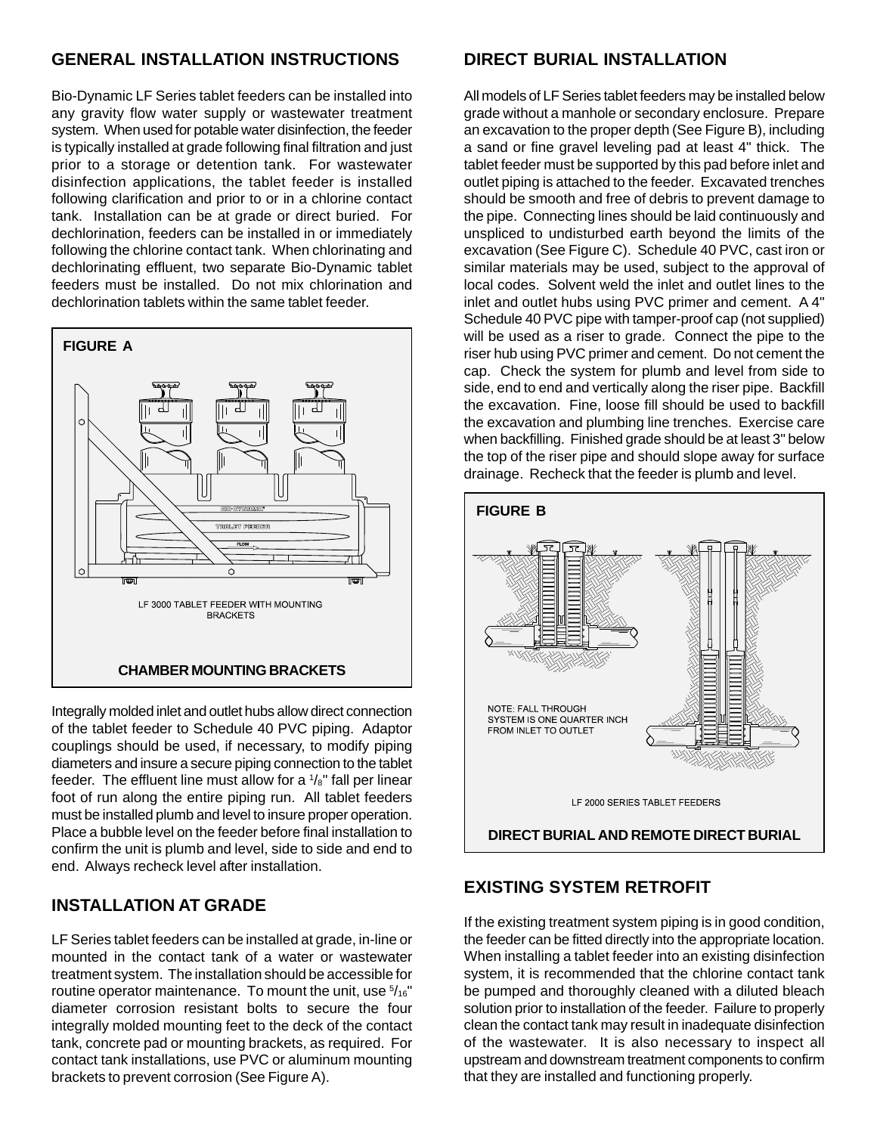#### **GENERAL INSTALLATION INSTRUCTIONS**

Bio-Dynamic LF Series tablet feeders can be installed into any gravity flow water supply or wastewater treatment system. When used for potable water disinfection, the feeder is typically installed at grade following final filtration and just prior to a storage or detention tank. For wastewater disinfection applications, the tablet feeder is installed following clarification and prior to or in a chlorine contact tank. Installation can be at grade or direct buried. For dechlorination, feeders can be installed in or immediately following the chlorine contact tank. When chlorinating and dechlorinating effluent, two separate Bio-Dynamic tablet feeders must be installed. Do not mix chlorination and dechlorination tablets within the same tablet feeder.



Integrally molded inlet and outlet hubs allow direct connection of the tablet feeder to Schedule 40 PVC piping. Adaptor couplings should be used, if necessary, to modify piping diameters and insure a secure piping connection to the tablet feeder. The effluent line must allow for a  $\frac{1}{8}$ " fall per linear foot of run along the entire piping run. All tablet feeders must be installed plumb and level to insure proper operation. Place a bubble level on the feeder before final installation to confirm the unit is plumb and level, side to side and end to end. Always recheck level after installation.

#### **INSTALLATION AT GRADE**

LF Series tablet feeders can be installed at grade, in-line or mounted in the contact tank of a water or wastewater treatment system. The installation should be accessible for routine operator maintenance. To mount the unit, use  $5/16"$ diameter corrosion resistant bolts to secure the four integrally molded mounting feet to the deck of the contact tank, concrete pad or mounting brackets, as required. For contact tank installations, use PVC or aluminum mounting brackets to prevent corrosion (See Figure A).

#### **DIRECT BURIAL INSTALLATION**

All models of LF Series tablet feeders may be installed below grade without a manhole or secondary enclosure. Prepare an excavation to the proper depth (See Figure B), including a sand or fine gravel leveling pad at least 4" thick. The tablet feeder must be supported by this pad before inlet and outlet piping is attached to the feeder. Excavated trenches should be smooth and free of debris to prevent damage to the pipe. Connecting lines should be laid continuously and unspliced to undisturbed earth beyond the limits of the excavation (See Figure C). Schedule 40 PVC, cast iron or similar materials may be used, subject to the approval of local codes. Solvent weld the inlet and outlet lines to the inlet and outlet hubs using PVC primer and cement. A 4" Schedule 40 PVC pipe with tamper-proof cap (not supplied) will be used as a riser to grade. Connect the pipe to the riser hub using PVC primer and cement. Do not cement the cap. Check the system for plumb and level from side to side, end to end and vertically along the riser pipe. Backfill the excavation. Fine, loose fill should be used to backfill the excavation and plumbing line trenches. Exercise care when backfilling. Finished grade should be at least 3" below the top of the riser pipe and should slope away for surface drainage. Recheck that the feeder is plumb and level.



#### **EXISTING SYSTEM RETROFIT**

If the existing treatment system piping is in good condition, the feeder can be fitted directly into the appropriate location. When installing a tablet feeder into an existing disinfection system, it is recommended that the chlorine contact tank be pumped and thoroughly cleaned with a diluted bleach solution prior to installation of the feeder. Failure to properly clean the contact tank may result in inadequate disinfection of the wastewater. It is also necessary to inspect all upstream and downstream treatment components to confirm that they are installed and functioning properly.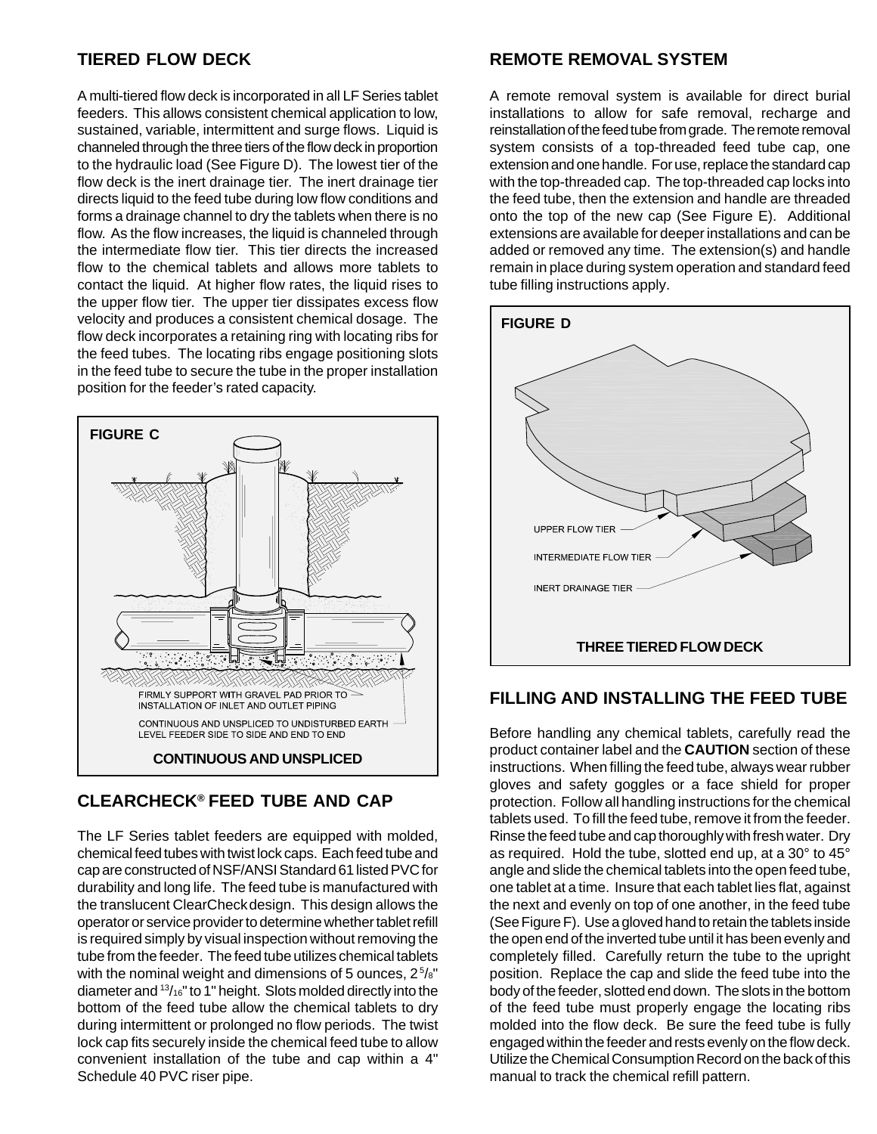#### **TIERED FLOW DECK**

A multi-tiered flow deck is incorporated in all LF Series tablet feeders. This allows consistent chemical application to low, sustained, variable, intermittent and surge flows. Liquid is channeled through the three tiers of the flow deck in proportion to the hydraulic load (See Figure D). The lowest tier of the flow deck is the inert drainage tier. The inert drainage tier directs liquid to the feed tube during low flow conditions and forms a drainage channel to dry the tablets when there is no flow. As the flow increases, the liquid is channeled through the intermediate flow tier. This tier directs the increased flow to the chemical tablets and allows more tablets to contact the liquid. At higher flow rates, the liquid rises to the upper flow tier. The upper tier dissipates excess flow velocity and produces a consistent chemical dosage. The flow deck incorporates a retaining ring with locating ribs for the feed tubes. The locating ribs engage positioning slots in the feed tube to secure the tube in the proper installation position for the feeder's rated capacity.



#### **CLEARCHECK® FEED TUBE AND CAP**

The LF Series tablet feeders are equipped with molded, chemical feed tubes with twist lock caps. Each feed tube and cap are constructed of NSF/ANSI Standard 61 listed PVC for durability and long life. The feed tube is manufactured with the translucent ClearCheckdesign. This design allows the operator or service provider to determine whether tablet refill is required simply by visual inspection without removing the tube from the feeder. The feed tube utilizes chemical tablets with the nominal weight and dimensions of 5 ounces,  $2^{5}/s$ " diameter and 13/16" to 1" height. Slots molded directly into the bottom of the feed tube allow the chemical tablets to dry during intermittent or prolonged no flow periods. The twist lock cap fits securely inside the chemical feed tube to allow convenient installation of the tube and cap within a 4" Schedule 40 PVC riser pipe.

#### **REMOTE REMOVAL SYSTEM**

A remote removal system is available for direct burial installations to allow for safe removal, recharge and reinstallation of the feed tube from grade. The remote removal system consists of a top-threaded feed tube cap, one extension and one handle. For use, replace the standard cap with the top-threaded cap. The top-threaded cap locks into the feed tube, then the extension and handle are threaded onto the top of the new cap (See Figure E). Additional extensions are available for deeper installations and can be added or removed any time. The extension(s) and handle remain in place during system operation and standard feed tube filling instructions apply.



#### **FILLING AND INSTALLING THE FEED TUBE**

Before handling any chemical tablets, carefully read the product container label and the **CAUTION** section of these instructions. When filling the feed tube, always wear rubber gloves and safety goggles or a face shield for proper protection. Follow all handling instructions for the chemical tablets used. To fill the feed tube, remove it from the feeder. Rinse the feed tube and cap thoroughly with fresh water. Dry as required. Hold the tube, slotted end up, at a 30° to 45° angle and slide the chemical tablets into the open feed tube, one tablet at a time. Insure that each tablet lies flat, against the next and evenly on top of one another, in the feed tube (See Figure F). Use a gloved hand to retain the tablets inside the open end of the inverted tube until it has been evenly and completely filled. Carefully return the tube to the upright position. Replace the cap and slide the feed tube into the body of the feeder, slotted end down. The slots in the bottom of the feed tube must properly engage the locating ribs molded into the flow deck. Be sure the feed tube is fully engaged within the feeder and rests evenly on the flow deck. Utilize the Chemical Consumption Record on the back of this manual to track the chemical refill pattern.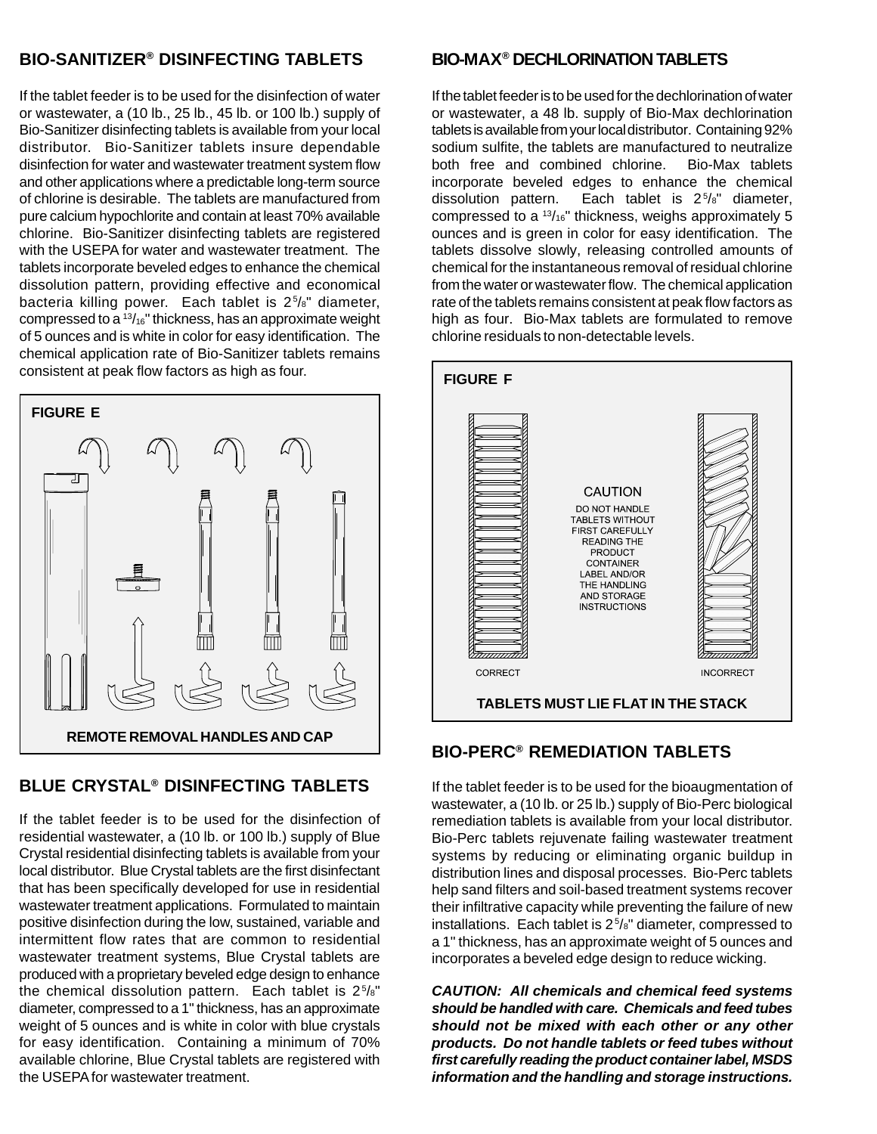#### **BIO-SANITIZER® DISINFECTING TABLETS**

If the tablet feeder is to be used for the disinfection of water or wastewater, a (10 lb., 25 lb., 45 lb. or 100 lb.) supply of Bio-Sanitizer disinfecting tablets is available from your local distributor. Bio-Sanitizer tablets insure dependable disinfection for water and wastewater treatment system flow and other applications where a predictable long-term source of chlorine is desirable. The tablets are manufactured from pure calcium hypochlorite and contain at least 70% available chlorine. Bio-Sanitizer disinfecting tablets are registered with the USEPA for water and wastewater treatment. The tablets incorporate beveled edges to enhance the chemical dissolution pattern, providing effective and economical bacteria killing power. Each tablet is 25 /8" diameter, compressed to a 13/16" thickness, has an approximate weight of 5 ounces and is white in color for easy identification. The chemical application rate of Bio-Sanitizer tablets remains consistent at peak flow factors as high as four.



# **BLUE CRYSTAL® DISINFECTING TABLETS**

If the tablet feeder is to be used for the disinfection of residential wastewater, a (10 lb. or 100 lb.) supply of Blue Crystal residential disinfecting tablets is available from your local distributor. Blue Crystal tablets are the first disinfectant that has been specifically developed for use in residential wastewater treatment applications. Formulated to maintain positive disinfection during the low, sustained, variable and intermittent flow rates that are common to residential wastewater treatment systems, Blue Crystal tablets are produced with a proprietary beveled edge design to enhance the chemical dissolution pattern. Each tablet is  $2^{5}/s$ " diameter, compressed to a 1" thickness, has an approximate weight of 5 ounces and is white in color with blue crystals for easy identification. Containing a minimum of 70% available chlorine, Blue Crystal tablets are registered with the USEPA for wastewater treatment.

#### **BIO-MAX® DECHLORINATION TABLETS**

If the tablet feeder is to be used for the dechlorination of water or wastewater, a 48 lb. supply of Bio-Max dechlorination tablets is available from your local distributor. Containing 92% sodium sulfite, the tablets are manufactured to neutralize both free and combined chlorine. Bio-Max tablets incorporate beveled edges to enhance the chemical dissolution pattern. Each tablet is 25 /8" diameter, compressed to a  $13/16$ " thickness, weighs approximately 5 ounces and is green in color for easy identification. The tablets dissolve slowly, releasing controlled amounts of chemical for the instantaneous removal of residual chlorine from the water or wastewater flow. The chemical application rate of the tablets remains consistent at peak flow factors as high as four. Bio-Max tablets are formulated to remove chlorine residuals to non-detectable levels.



# **BIO-PERC® REMEDIATION TABLETS**

If the tablet feeder is to be used for the bioaugmentation of wastewater, a (10 lb. or 25 lb.) supply of Bio-Perc biological remediation tablets is available from your local distributor. Bio-Perc tablets rejuvenate failing wastewater treatment systems by reducing or eliminating organic buildup in distribution lines and disposal processes. Bio-Perc tablets help sand filters and soil-based treatment systems recover their infiltrative capacity while preventing the failure of new installations. Each tablet is 25 /8" diameter, compressed to a 1" thickness, has an approximate weight of 5 ounces and incorporates a beveled edge design to reduce wicking.

**CAUTION: All chemicals and chemical feed systems should be handled with care. Chemicals and feed tubes should not be mixed with each other or any other products. Do not handle tablets or feed tubes without first carefully reading the product container label, MSDS information and the handling and storage instructions.**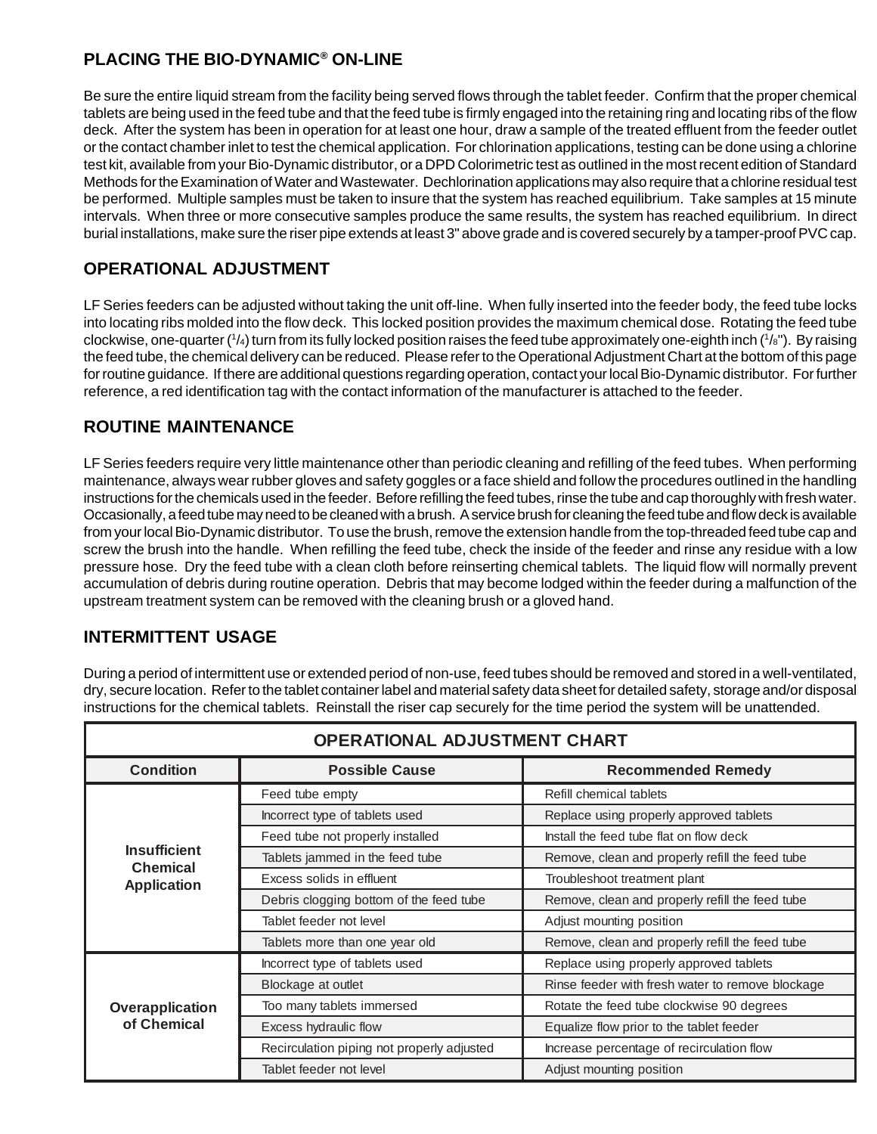## **PLACING THE BIO-DYNAMIC® ON-LINE**

Be sure the entire liquid stream from the facility being served flows through the tablet feeder. Confirm that the proper chemical tablets are being used in the feed tube and that the feed tube is firmly engaged into the retaining ring and locating ribs of the flow deck. After the system has been in operation for at least one hour, draw a sample of the treated effluent from the feeder outlet or the contact chamber inlet to test the chemical application. For chlorination applications, testing can be done using a chlorine test kit, available from your Bio-Dynamic distributor, or a DPD Colorimetric test as outlined in the most recent edition of Standard Methods for the Examination of Water and Wastewater. Dechlorination applications may also require that a chlorine residual test be performed. Multiple samples must be taken to insure that the system has reached equilibrium. Take samples at 15 minute intervals. When three or more consecutive samples produce the same results, the system has reached equilibrium. In direct burial installations, make sure the riser pipe extends at least 3" above grade and is covered securely by a tamper-proof PVC cap.

## **OPERATIONAL ADJUSTMENT**

LF Series feeders can be adjusted without taking the unit off-line. When fully inserted into the feeder body, the feed tube locks into locating ribs molded into the flow deck. This locked position provides the maximum chemical dose. Rotating the feed tube clockwise, one-quarter (1/4) turn from its fully locked position raises the feed tube approximately one-eighth inch (1/<sub>8</sub>"). By raising the feed tube, the chemical delivery can be reduced. Please refer to the Operational Adjustment Chart at the bottom of this page for routine guidance. If there are additional questions regarding operation, contact your local Bio-Dynamic distributor. For further reference, a red identification tag with the contact information of the manufacturer is attached to the feeder.

#### **ROUTINE MAINTENANCE**

LF Series feeders require very little maintenance other than periodic cleaning and refilling of the feed tubes. When performing maintenance, always wear rubber gloves and safety goggles or a face shield and follow the procedures outlined in the handling instructions for the chemicals used in the feeder. Before refilling the feed tubes, rinse the tube and cap thoroughly with fresh water. Occasionally, a feed tube may need to be cleaned with a brush. A service brush for cleaning the feed tube and flow deck is available from your local Bio-Dynamic distributor. To use the brush, remove the extension handle from the top-threaded feed tube cap and screw the brush into the handle. When refilling the feed tube, check the inside of the feeder and rinse any residue with a low pressure hose. Dry the feed tube with a clean cloth before reinserting chemical tablets. The liquid flow will normally prevent accumulation of debris during routine operation. Debris that may become lodged within the feeder during a malfunction of the upstream treatment system can be removed with the cleaning brush or a gloved hand.

# **INTERMITTENT USAGE**

During a period of intermittent use or extended period of non-use, feed tubes should be removed and stored in a well-ventilated, dry, secure location. Refer to the tablet container label and material safety data sheet for detailed safety, storage and/or disposal instructions for the chemical tablets. Reinstall the riser cap securely for the time period the system will be unattended.

| OPERATIONAL ADJUSTMENT CHART                                 |                                            |                                                  |
|--------------------------------------------------------------|--------------------------------------------|--------------------------------------------------|
| <b>Condition</b>                                             | <b>Possible Cause</b>                      | <b>Recommended Remedy</b>                        |
| <b>Insufficient</b><br><b>Chemical</b><br><b>Application</b> | Feed tube empty                            | Refill chemical tablets                          |
|                                                              | Incorrect type of tablets used             | Replace using properly approved tablets          |
|                                                              | Feed tube not properly installed           | Install the feed tube flat on flow deck          |
|                                                              | Tablets jammed in the feed tube            | Remove, clean and properly refill the feed tube  |
|                                                              | Excess solids in effluent                  | Troubleshoot treatment plant                     |
|                                                              | Debris clogging bottom of the feed tube    | Remove, clean and properly refill the feed tube  |
|                                                              | Tablet feeder not level                    | Adjust mounting position                         |
|                                                              | Tablets more than one year old             | Remove, clean and properly refill the feed tube  |
| Overapplication<br>of Chemical                               | Incorrect type of tablets used             | Replace using properly approved tablets          |
|                                                              | Blockage at outlet                         | Rinse feeder with fresh water to remove blockage |
|                                                              | Too many tablets immersed                  | Rotate the feed tube clockwise 90 degrees        |
|                                                              | Excess hydraulic flow                      | Equalize flow prior to the tablet feeder         |
|                                                              | Recirculation piping not properly adjusted | Increase percentage of recirculation flow        |
|                                                              | Tablet feeder not level                    | Adjust mounting position                         |